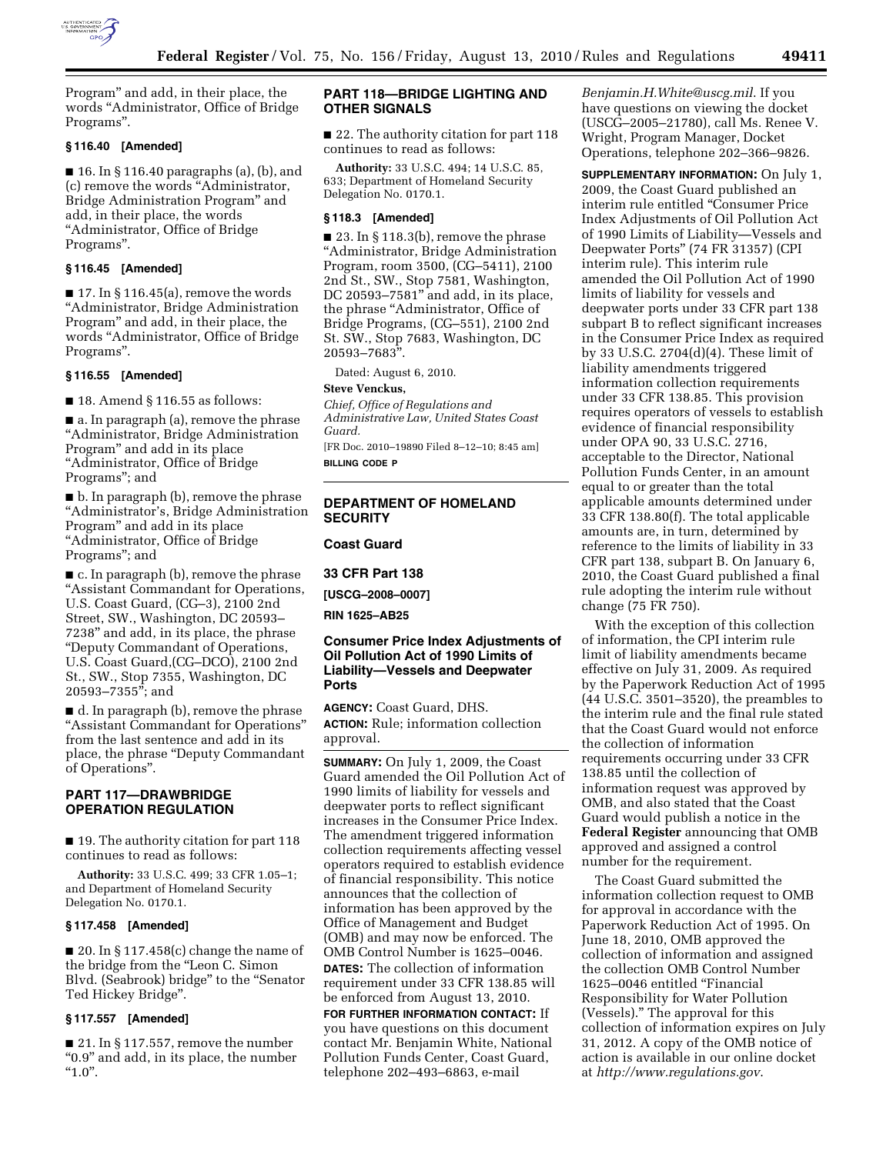

Program'' and add, in their place, the words ''Administrator, Office of Bridge Programs''.

### **§ 116.40 [Amended]**

■ 16. In § 116.40 paragraphs (a), (b), and (c) remove the words ''Administrator, Bridge Administration Program'' and add, in their place, the words ''Administrator, Office of Bridge Programs''.

#### **§ 116.45 [Amended]**

 $\blacksquare$  17. In § 116.45(a), remove the words ''Administrator, Bridge Administration Program'' and add, in their place, the words ''Administrator, Office of Bridge Programs''.

### **§ 116.55 [Amended]**

■ 18. Amend § 116.55 as follows:

■ a. In paragraph (a), remove the phrase ''Administrator, Bridge Administration Program'' and add in its place ''Administrator, Office of Bridge Programs''; and

■ b. In paragraph (b), remove the phrase ''Administrator's, Bridge Administration Program'' and add in its place ''Administrator, Office of Bridge Programs''; and

■ c. In paragraph (b), remove the phrase ''Assistant Commandant for Operations, U.S. Coast Guard, (CG–3), 2100 2nd Street, SW., Washington, DC 20593– 7238'' and add, in its place, the phrase ''Deputy Commandant of Operations, U.S. Coast Guard,(CG–DCO), 2100 2nd St., SW., Stop 7355, Washington, DC 20593–7355''; and

■ d. In paragraph (b), remove the phrase ''Assistant Commandant for Operations'' from the last sentence and add in its place, the phrase ''Deputy Commandant of Operations''.

### **PART 117—DRAWBRIDGE OPERATION REGULATION**

■ 19. The authority citation for part 118 continues to read as follows:

**Authority:** 33 U.S.C. 499; 33 CFR 1.05–1; and Department of Homeland Security Delegation No. 0170.1.

#### **§ 117.458 [Amended]**

 $\blacksquare$  20. In § 117.458(c) change the name of the bridge from the ''Leon C. Simon Blvd. (Seabrook) bridge'' to the ''Senator Ted Hickey Bridge''.

### **§ 117.557 [Amended]**

■ 21. In § 117.557, remove the number "0.9" and add, in its place, the number  $"1.0"$ .

### **PART 118—BRIDGE LIGHTING AND OTHER SIGNALS**

■ 22. The authority citation for part 118 continues to read as follows:

**Authority:** 33 U.S.C. 494; 14 U.S.C. 85, 633; Department of Homeland Security Delegation No. 0170.1.

#### **§ 118.3 [Amended]**

■ 23. In § 118.3(b), remove the phrase ''Administrator, Bridge Administration Program, room 3500, (CG–5411), 2100 2nd St., SW., Stop 7581, Washington, DC 20593–7581'' and add, in its place, the phrase ''Administrator, Office of Bridge Programs, (CG–551), 2100 2nd St. SW., Stop 7683, Washington, DC 20593–7683''.

Dated: August 6, 2010.

#### **Steve Venckus,**

*Chief, Office of Regulations and Administrative Law, United States Coast Guard.* 

[FR Doc. 2010–19890 Filed 8–12–10; 8:45 am] **BILLING CODE P** 

### **DEPARTMENT OF HOMELAND SECURITY**

### **Coast Guard**

**33 CFR Part 138** 

**[USCG–2008–0007]** 

**RIN 1625–AB25** 

### **Consumer Price Index Adjustments of Oil Pollution Act of 1990 Limits of Liability—Vessels and Deepwater Ports**

**AGENCY:** Coast Guard, DHS. **ACTION:** Rule; information collection approval.

**SUMMARY:** On July 1, 2009, the Coast Guard amended the Oil Pollution Act of 1990 limits of liability for vessels and deepwater ports to reflect significant increases in the Consumer Price Index. The amendment triggered information collection requirements affecting vessel operators required to establish evidence of financial responsibility. This notice announces that the collection of information has been approved by the Office of Management and Budget (OMB) and may now be enforced. The OMB Control Number is 1625–0046. **DATES:** The collection of information requirement under 33 CFR 138.85 will be enforced from August 13, 2010.

**FOR FURTHER INFORMATION CONTACT:** If you have questions on this document contact Mr. Benjamin White, National Pollution Funds Center, Coast Guard, telephone 202–493–6863, e-mail

*[Benjamin.H.White@uscg.mil](mailto:Benjamin.H.White@uscg.mil)*. If you have questions on viewing the docket (USCG–2005–21780), call Ms. Renee V. Wright, Program Manager, Docket Operations, telephone 202–366–9826.

**SUPPLEMENTARY INFORMATION:** On July 1, 2009, the Coast Guard published an interim rule entitled ''Consumer Price Index Adjustments of Oil Pollution Act of 1990 Limits of Liability—Vessels and Deepwater Ports'' (74 FR 31357) (CPI interim rule). This interim rule amended the Oil Pollution Act of 1990 limits of liability for vessels and deepwater ports under 33 CFR part 138 subpart B to reflect significant increases in the Consumer Price Index as required by 33 U.S.C. 2704(d)(4). These limit of liability amendments triggered information collection requirements under 33 CFR 138.85. This provision requires operators of vessels to establish evidence of financial responsibility under OPA 90, 33 U.S.C. 2716, acceptable to the Director, National Pollution Funds Center, in an amount equal to or greater than the total applicable amounts determined under 33 CFR 138.80(f). The total applicable amounts are, in turn, determined by reference to the limits of liability in 33 CFR part 138, subpart B. On January 6, 2010, the Coast Guard published a final rule adopting the interim rule without change (75 FR 750).

With the exception of this collection of information, the CPI interim rule limit of liability amendments became effective on July 31, 2009. As required by the Paperwork Reduction Act of 1995 (44 U.S.C. 3501–3520), the preambles to the interim rule and the final rule stated that the Coast Guard would not enforce the collection of information requirements occurring under 33 CFR 138.85 until the collection of information request was approved by OMB, and also stated that the Coast Guard would publish a notice in the **Federal Register** announcing that OMB approved and assigned a control number for the requirement.

The Coast Guard submitted the information collection request to OMB for approval in accordance with the Paperwork Reduction Act of 1995. On June 18, 2010, OMB approved the collection of information and assigned the collection OMB Control Number 1625–0046 entitled ''Financial Responsibility for Water Pollution (Vessels).'' The approval for this collection of information expires on July 31, 2012. A copy of the OMB notice of action is available in our online docket at *<http://www.regulations.gov>*.